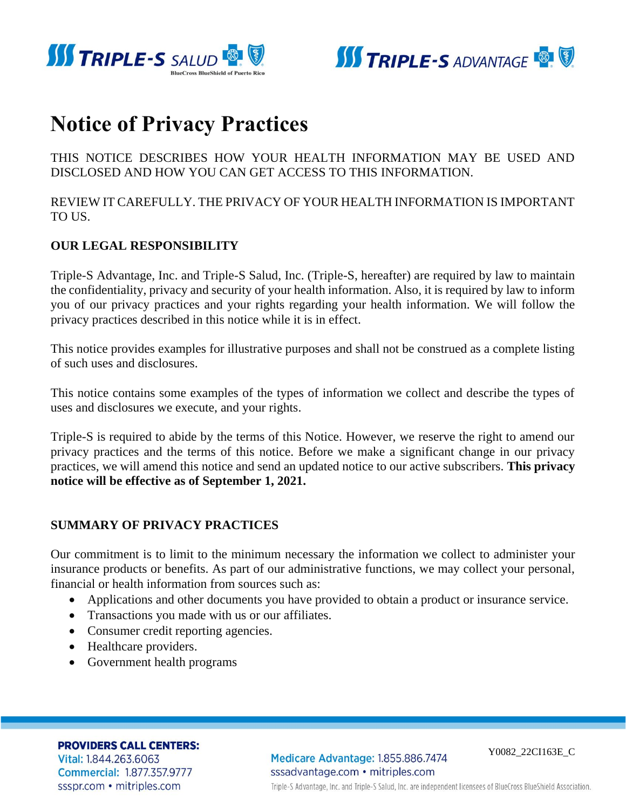



# **Notice of Privacy Practices**

THIS NOTICE DESCRIBES HOW YOUR HEALTH INFORMATION MAY BE USED AND DISCLOSED AND HOW YOU CAN GET ACCESS TO THIS INFORMATION.

REVIEW IT CAREFULLY. THE PRIVACY OF YOUR HEALTH INFORMATION IS IMPORTANT TO US.

# **OUR LEGAL RESPONSIBILITY**

Triple-S Advantage, Inc. and Triple-S Salud, Inc. (Triple-S, hereafter) are required by law to maintain the confidentiality, privacy and security of your health information. Also, it is required by law to inform you of our privacy practices and your rights regarding your health information. We will follow the privacy practices described in this notice while it is in effect.

This notice provides examples for illustrative purposes and shall not be construed as a complete listing of such uses and disclosures.

This notice contains some examples of the types of information we collect and describe the types of uses and disclosures we execute, and your rights.

Triple-S is required to abide by the terms of this Notice. However, we reserve the right to amend our privacy practices and the terms of this notice. Before we make a significant change in our privacy practices, we will amend this notice and send an updated notice to our active subscribers. **This privacy notice will be effective as of September 1, 2021.** 

# **SUMMARY OF PRIVACY PRACTICES**

Our commitment is to limit to the minimum necessary the information we collect to administer your insurance products or benefits. As part of our administrative functions, we may collect your personal, financial or health information from sources such as:

- Applications and other documents you have provided to obtain a product or insurance service.
- Transactions you made with us or our affiliates.
- Consumer credit reporting agencies.
- Healthcare providers.
- Government health programs

**PROVIDERS CALL CENTERS:** Vital: 1.844.263.6063 **Commercial: 1.877.357.9777** ssspr.com • mitriples.com

Medicare Advantage: 1.855.886.7474 sssadvantage.com • mitriples.com

Y0082\_22CI163E\_C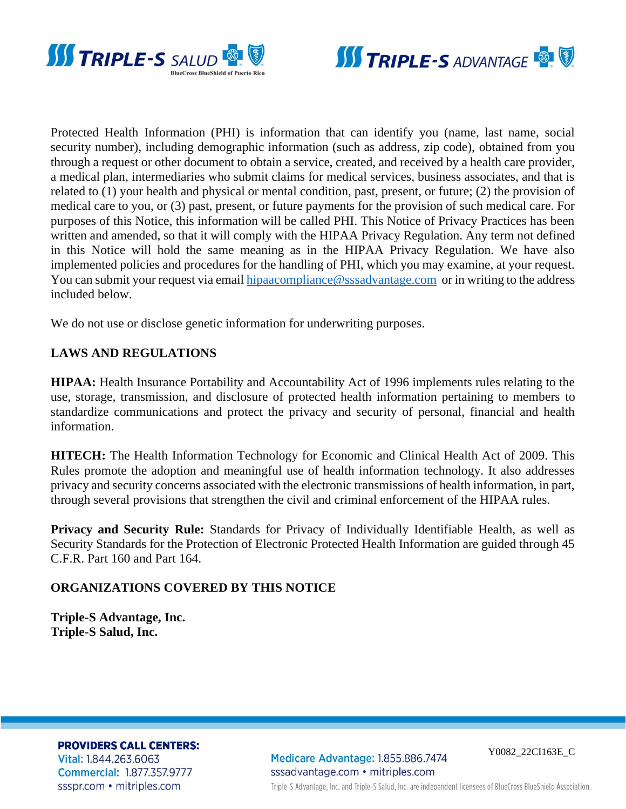



Protected Health Information (PHI) is information that can identify you (name, last name, social security number), including demographic information (such as address, zip code), obtained from you through a request or other document to obtain a service, created, and received by a health care provider, a medical plan, intermediaries who submit claims for medical services, business associates, and that is related to (1) your health and physical or mental condition, past, present, or future; (2) the provision of medical care to you, or (3) past, present, or future payments for the provision of such medical care. For purposes of this Notice, this information will be called PHI. This Notice of Privacy Practices has been written and amended, so that it will comply with the HIPAA Privacy Regulation. Any term not defined in this Notice will hold the same meaning as in the HIPAA Privacy Regulation. We have also implemented policies and procedures for the handling of PHI, which you may examine, at your request. You can submit your request via email [hipaacompliance@sssadvantage.com](mailto:hipaacompliance@sssadvantage.com) or in writing to the address included below.

We do not use or disclose genetic information for underwriting purposes.

### **LAWS AND REGULATIONS**

**HIPAA:** Health Insurance Portability and Accountability Act of 1996 implements rules relating to the use, storage, transmission, and disclosure of protected health information pertaining to members to standardize communications and protect the privacy and security of personal, financial and health information.

**HITECH:** The Health Information Technology for Economic and Clinical Health Act of 2009. This Rules promote the adoption and meaningful use of health information technology. It also addresses privacy and security concerns associated with the electronic transmissions of health information, in part, through several provisions that strengthen the civil and criminal enforcement of the HIPAA rules.

**Privacy and Security Rule:** Standards for Privacy of Individually Identifiable Health, as well as Security Standards for the Protection of Electronic Protected Health Information are guided through 45 C.F.R. Part 160 and Part 164.

#### **ORGANIZATIONS COVERED BY THIS NOTICE**

**Triple-S Advantage, Inc. Triple-S Salud, Inc.**

**PROVIDERS CALL CENTERS:** 

Vital: 1.844.263.6063 **Commercial: 1.877.357.9777** ssspr.com • mitriples.com

Medicare Advantage: 1.855.886.7474 sssadvantage.com · mitriples.com

Y0082\_22CI163E\_C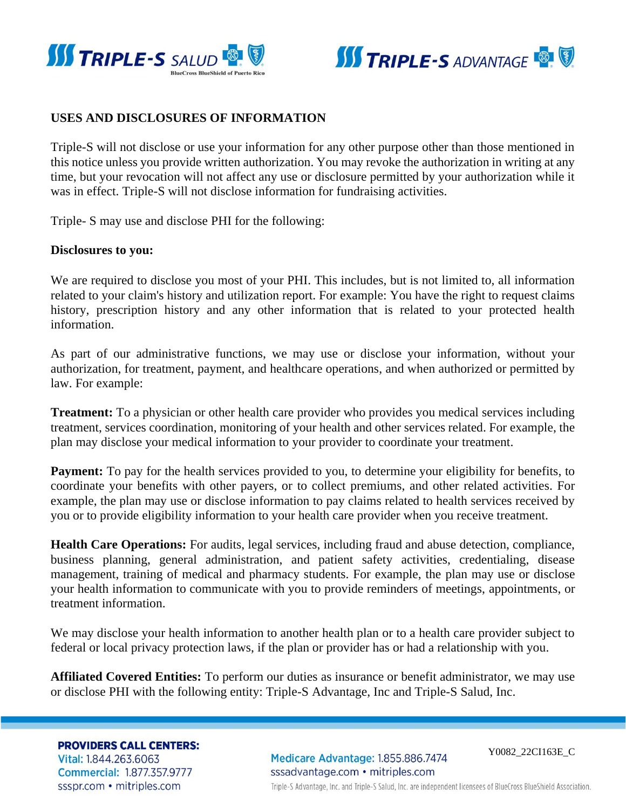



### **USES AND DISCLOSURES OF INFORMATION**

Triple-S will not disclose or use your information for any other purpose other than those mentioned in this notice unless you provide written authorization. You may revoke the authorization in writing at any time, but your revocation will not affect any use or disclosure permitted by your authorization while it was in effect. Triple-S will not disclose information for fundraising activities.

Triple- S may use and disclose PHI for the following:

#### **Disclosures to you:**

We are required to disclose you most of your PHI. This includes, but is not limited to, all information related to your claim's history and utilization report. For example: You have the right to request claims history, prescription history and any other information that is related to your protected health information.

As part of our administrative functions, we may use or disclose your information, without your authorization, for treatment, payment, and healthcare operations, and when authorized or permitted by law. For example:

**Treatment:** To a physician or other health care provider who provides you medical services including treatment, services coordination, monitoring of your health and other services related. For example, the plan may disclose your medical information to your provider to coordinate your treatment.

**Payment:** To pay for the health services provided to you, to determine your eligibility for benefits, to coordinate your benefits with other payers, or to collect premiums, and other related activities. For example, the plan may use or disclose information to pay claims related to health services received by you or to provide eligibility information to your health care provider when you receive treatment.

**Health Care Operations:** For audits, legal services, including fraud and abuse detection, compliance, business planning, general administration, and patient safety activities, credentialing, disease management, training of medical and pharmacy students. For example, the plan may use or disclose your health information to communicate with you to provide reminders of meetings, appointments, or treatment information.

We may disclose your health information to another health plan or to a health care provider subject to federal or local privacy protection laws, if the plan or provider has or had a relationship with you.

**Affiliated Covered Entities:** To perform our duties as insurance or benefit administrator, we may use or disclose PHI with the following entity: Triple-S Advantage, Inc and Triple-S Salud, Inc.

**PROVIDERS CALL CENTERS:** Vital: 1.844.263.6063

**Commercial: 1.877.357.9777** ssspr.com • mitriples.com

Medicare Advantage: 1.855.886.7474 sssadvantage.com • mitriples.com

Y0082\_22CI163E\_C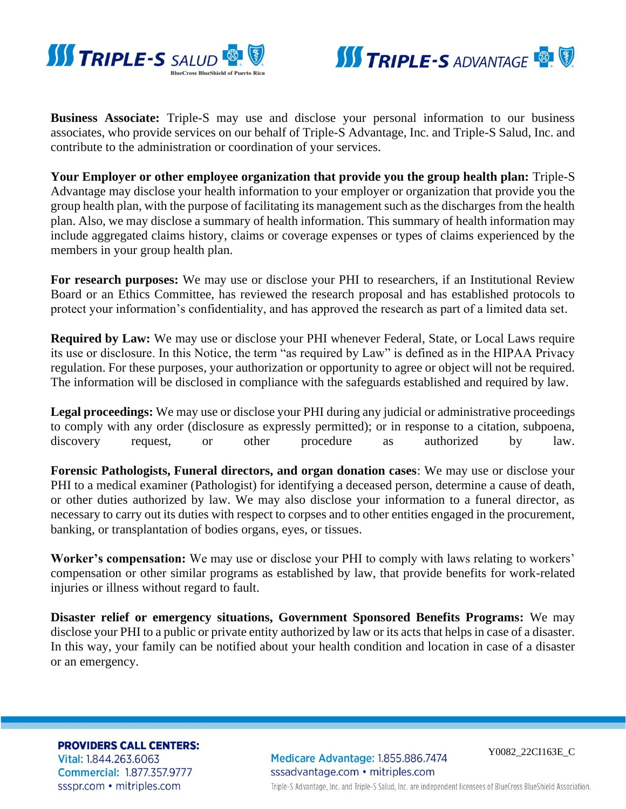



**Business Associate:** Triple-S may use and disclose your personal information to our business associates, who provide services on our behalf of Triple-S Advantage, Inc. and Triple-S Salud, Inc. and contribute to the administration or coordination of your services.

**Your Employer or other employee organization that provide you the group health plan:** Triple-S Advantage may disclose your health information to your employer or organization that provide you the group health plan, with the purpose of facilitating its management such as the discharges from the health plan. Also, we may disclose a summary of health information. This summary of health information may include aggregated claims history, claims or coverage expenses or types of claims experienced by the members in your group health plan.

**For research purposes:** We may use or disclose your PHI to researchers, if an Institutional Review Board or an Ethics Committee, has reviewed the research proposal and has established protocols to protect your information's confidentiality, and has approved the research as part of a limited data set.

**Required by Law:** We may use or disclose your PHI whenever Federal, State, or Local Laws require its use or disclosure. In this Notice, the term "as required by Law" is defined as in the HIPAA Privacy regulation. For these purposes, your authorization or opportunity to agree or object will not be required. The information will be disclosed in compliance with the safeguards established and required by law.

**Legal proceedings:** We may use or disclose your PHI during any judicial or administrative proceedings to comply with any order (disclosure as expressly permitted); or in response to a citation, subpoena, discovery request, or other procedure as authorized by law.

**Forensic Pathologists, Funeral directors, and organ donation cases**: We may use or disclose your PHI to a medical examiner (Pathologist) for identifying a deceased person, determine a cause of death, or other duties authorized by law. We may also disclose your information to a funeral director, as necessary to carry out its duties with respect to corpses and to other entities engaged in the procurement, banking, or transplantation of bodies organs, eyes, or tissues.

**Worker's compensation:** We may use or disclose your PHI to comply with laws relating to workers' compensation or other similar programs as established by law, that provide benefits for work-related injuries or illness without regard to fault.

**Disaster relief or emergency situations, Government Sponsored Benefits Programs:** We may disclose your PHI to a public or private entity authorized by law or its acts that helps in case of a disaster. In this way, your family can be notified about your health condition and location in case of a disaster or an emergency.

**PROVIDERS CALL CENTERS:** Vital: 1.844.263.6063 **Commercial: 1.877.357.9777** ssspr.com • mitriples.com

Medicare Advantage: 1.855.886.7474 sssadvantage.com • mitriples.com

Y0082\_22CI163E\_C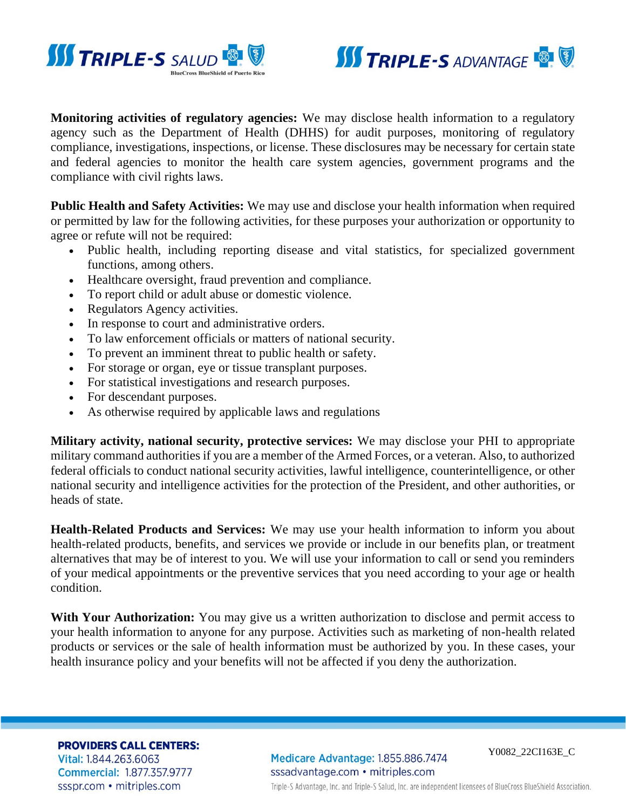



**Monitoring activities of regulatory agencies:** We may disclose health information to a regulatory agency such as the Department of Health (DHHS) for audit purposes, monitoring of regulatory compliance, investigations, inspections, or license. These disclosures may be necessary for certain state and federal agencies to monitor the health care system agencies, government programs and the compliance with civil rights laws.

**Public Health and Safety Activities:** We may use and disclose your health information when required or permitted by law for the following activities, for these purposes your authorization or opportunity to agree or refute will not be required:

- Public health, including reporting disease and vital statistics, for specialized government functions, among others.
- Healthcare oversight, fraud prevention and compliance.
- To report child or adult abuse or domestic violence.
- Regulators Agency activities.
- In response to court and administrative orders.
- To law enforcement officials or matters of national security.
- To prevent an imminent threat to public health or safety.
- For storage or organ, eye or tissue transplant purposes.
- For statistical investigations and research purposes.
- For descendant purposes.
- As otherwise required by applicable laws and regulations

**Military activity, national security, protective services:** We may disclose your PHI to appropriate military command authorities if you are a member of the Armed Forces, or a veteran. Also, to authorized federal officials to conduct national security activities, lawful intelligence, counterintelligence, or other national security and intelligence activities for the protection of the President, and other authorities, or heads of state.

**Health-Related Products and Services:** We may use your health information to inform you about health-related products, benefits, and services we provide or include in our benefits plan, or treatment alternatives that may be of interest to you. We will use your information to call or send you reminders of your medical appointments or the preventive services that you need according to your age or health condition.

**With Your Authorization:** You may give us a written authorization to disclose and permit access to your health information to anyone for any purpose. Activities such as marketing of non-health related products or services or the sale of health information must be authorized by you. In these cases, your health insurance policy and your benefits will not be affected if you deny the authorization.

**PROVIDERS CALL CENTERS:** Vital: 1.844.263.6063 **Commercial: 1.877.357.9777** ssspr.com • mitriples.com

Medicare Advantage: 1.855.886.7474 sssadvantage.com • mitriples.com

Y0082\_22CI163E\_C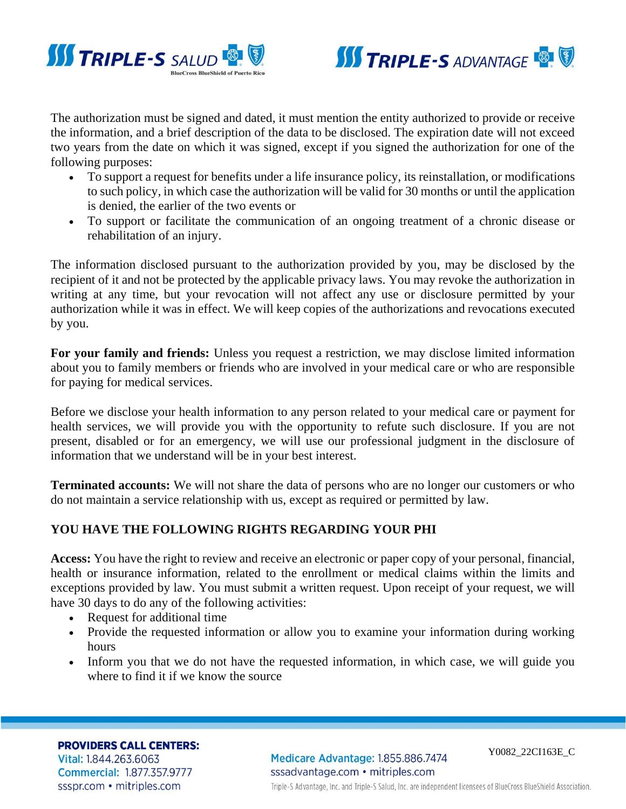



The authorization must be signed and dated, it must mention the entity authorized to provide or receive the information, and a brief description of the data to be disclosed. The expiration date will not exceed two years from the date on which it was signed, except if you signed the authorization for one of the following purposes:

- To support a request for benefits under a life insurance policy, its reinstallation, or modifications to such policy, in which case the authorization will be valid for 30 months or until the application is denied, the earlier of the two events or
- To support or facilitate the communication of an ongoing treatment of a chronic disease or rehabilitation of an injury.

The information disclosed pursuant to the authorization provided by you, may be disclosed by the recipient of it and not be protected by the applicable privacy laws. You may revoke the authorization in writing at any time, but your revocation will not affect any use or disclosure permitted by your authorization while it was in effect. We will keep copies of the authorizations and revocations executed by you.

**For your family and friends:** Unless you request a restriction, we may disclose limited information about you to family members or friends who are involved in your medical care or who are responsible for paying for medical services.

Before we disclose your health information to any person related to your medical care or payment for health services, we will provide you with the opportunity to refute such disclosure. If you are not present, disabled or for an emergency, we will use our professional judgment in the disclosure of information that we understand will be in your best interest.

**Terminated accounts:** We will not share the data of persons who are no longer our customers or who do not maintain a service relationship with us, except as required or permitted by law.

# **YOU HAVE THE FOLLOWING RIGHTS REGARDING YOUR PHI**

**Access:** You have the right to review and receive an electronic or paper copy of your personal, financial, health or insurance information, related to the enrollment or medical claims within the limits and exceptions provided by law. You must submit a written request. Upon receipt of your request, we will have 30 days to do any of the following activities:

- Request for additional time
- Provide the requested information or allow you to examine your information during working hours
- Inform you that we do not have the requested information, in which case, we will guide you where to find it if we know the source

**PROVIDERS CALL CENTERS:** Vital: 1.844.263.6063 **Commercial: 1.877.357.9777** ssspr.com • mitriples.com

Medicare Advantage: 1.855.886.7474 sssadvantage.com · mitriples.com

Y0082\_22CI163E\_C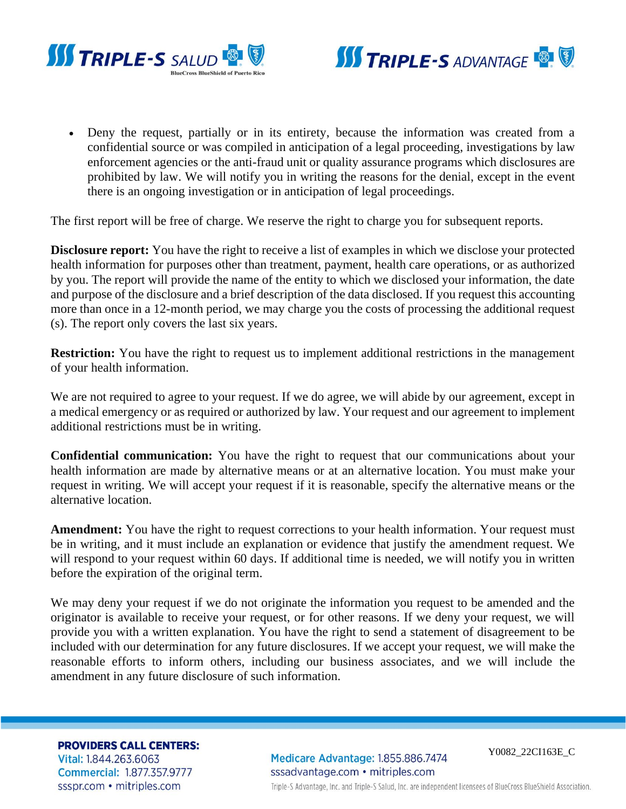



• Deny the request, partially or in its entirety, because the information was created from a confidential source or was compiled in anticipation of a legal proceeding, investigations by law enforcement agencies or the anti-fraud unit or quality assurance programs which disclosures are prohibited by law. We will notify you in writing the reasons for the denial, except in the event there is an ongoing investigation or in anticipation of legal proceedings.

The first report will be free of charge. We reserve the right to charge you for subsequent reports.

**Disclosure report:** You have the right to receive a list of examples in which we disclose your protected health information for purposes other than treatment, payment, health care operations, or as authorized by you. The report will provide the name of the entity to which we disclosed your information, the date and purpose of the disclosure and a brief description of the data disclosed. If you request this accounting more than once in a 12-month period, we may charge you the costs of processing the additional request (s). The report only covers the last six years.

**Restriction:** You have the right to request us to implement additional restrictions in the management of your health information.

We are not required to agree to your request. If we do agree, we will abide by our agreement, except in a medical emergency or as required or authorized by law. Your request and our agreement to implement additional restrictions must be in writing.

**Confidential communication:** You have the right to request that our communications about your health information are made by alternative means or at an alternative location. You must make your request in writing. We will accept your request if it is reasonable, specify the alternative means or the alternative location.

**Amendment:** You have the right to request corrections to your health information. Your request must be in writing, and it must include an explanation or evidence that justify the amendment request. We will respond to your request within 60 days. If additional time is needed, we will notify you in written before the expiration of the original term.

We may deny your request if we do not originate the information you request to be amended and the originator is available to receive your request, or for other reasons. If we deny your request, we will provide you with a written explanation. You have the right to send a statement of disagreement to be included with our determination for any future disclosures. If we accept your request, we will make the reasonable efforts to inform others, including our business associates, and we will include the amendment in any future disclosure of such information.

**PROVIDERS CALL CENTERS:** 

Vital: 1.844.263.6063 **Commercial: 1.877.357.9777** ssspr.com • mitriples.com

Medicare Advantage: 1.855.886.7474 sssadvantage.com • mitriples.com

Y0082\_22CI163E\_C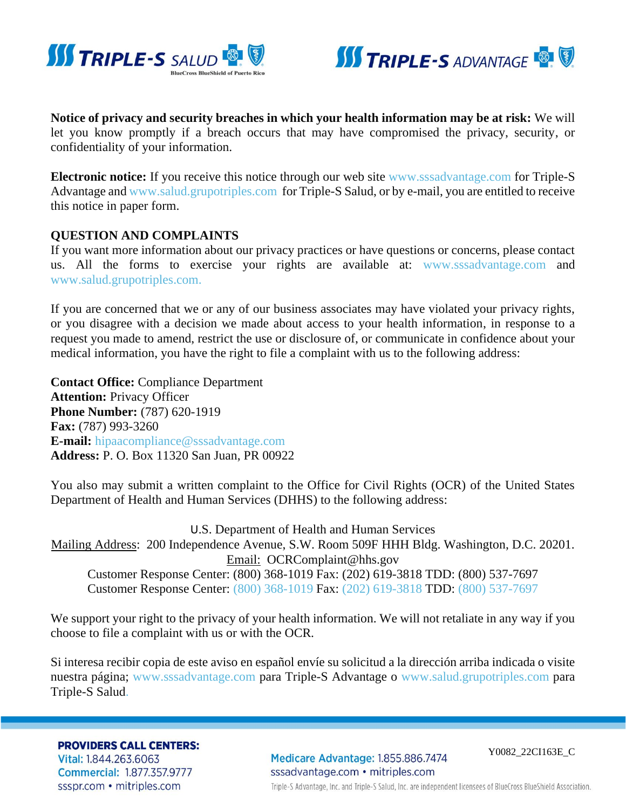



**Notice of privacy and security breaches in which your health information may be at risk:** We will let you know promptly if a breach occurs that may have compromised the privacy, security, or confidentiality of your information.

**Electronic notice:** If you receive this notice through our web site [www.sssadvantage.com](http://advantage.grupotriples.com/) for Triple-S Advantage and [www.salud.grupotriples.com](http://www.salud.grupotriples.com/) for Triple-S Salud, or by e-mail, you are entitled to receive this notice in paper form.

#### **QUESTION AND COMPLAINTS**

If you want more information about our privacy practices or have questions or concerns, please contact us. All the forms to exercise your rights are available at: [www.sssadvantage.com](http://advantage.grupotriples.com/) and [www.salud.grupotriples.com.](http://www.salud.grupotriples.com/)

If you are concerned that we or any of our business associates may have violated your privacy rights, or you disagree with a decision we made about access to your health information, in response to a request you made to amend, restrict the use or disclosure of, or communicate in confidence about your medical information, you have the right to file a complaint with us to the following address:

**Contact Office:** Compliance Department **Attention:** Privacy Officer **Phone Number:** (787) 620-1919 **Fax:** (787) 993-3260 **E-mail:** [hipaacompliance@sssadvantage.com](mailto:hipaacompliance@sssadvantage.com) **Address:** P. O. Box 11320 San Juan, PR 00922

You also may submit a written complaint to the Office for Civil Rights (OCR) of the United States Department of Health and Human Services (DHHS) to the following address:

U.S. Department of Health and Human Services Mailing Address: 200 Independence Avenue, S.W. Room 509F HHH Bldg. Washington, D.C. 20201. Email: [OCRComplaint@hhs.gov](mailto:OCRComplaint@hhs.gov) Customer Response Center: (800) 368-1019 Fax: (202) 619-3818 TDD: (800) 537-7697 Customer Response Center: [\(800\) 368-1019](tel:800-368-1019) Fax: [\(202\) 619-3818](tel:202-619-3818) TDD: [\(800\) 537-7697](tel:800-537-7697)

We support your right to the privacy of your health information. We will not retaliate in any way if you choose to file a complaint with us or with the OCR.

Si interesa recibir copia de este aviso en español envíe su solicitud a la dirección arriba indicada o visite nuestra página; [www.sssadvantage.com](http://advantage.grupotriples.com/) para Triple-S Advantage o [www.salud.grupotriples.com](http://www.salud.grupotriples.com/) para Triple-S Salud.

**PROVIDERS CALL CENTERS:** 

Vital: 1.844.263.6063 **Commercial: 1.877.357.9777** ssspr.com • mitriples.com

Medicare Advantage: 1.855.886.7474 sssadvantage.com · mitriples.com

Y0082\_22CI163E\_C